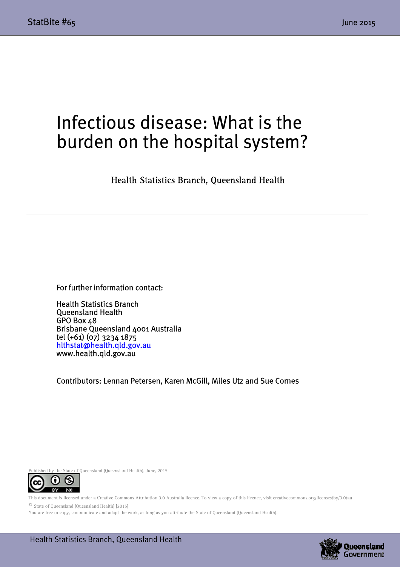$\overline{a}$ 

 $\overline{a}$ 

# Infectious disease: What is the burden on the hospital system?

Health Statistics Branch, Queensland Health

For further information contact:

Health Statistics Branch Queensland Health GPO Box 48 Brisbane Queensland 4001 Australia tel (+61) (07) 3234 1875 hlthstat@health.qld.gov.au www.health.qld.gov.au

Contributors: Lennan Petersen, Karen McGill, Miles Utz and Sue Cornes

Published by the State of Queensland (Queensland Health), June, 2015



This document is licensed under a Creative Commons Attribution 3.0 Australia licence. To view a copy of this licence, visit creativecommons.org/licenses/by/3.0/au © State of Queensland (Queensland Health) [2015]

You are free to copy, communicate and adapt the work, as long as you attribute the State of Queensland (Queensland Health).

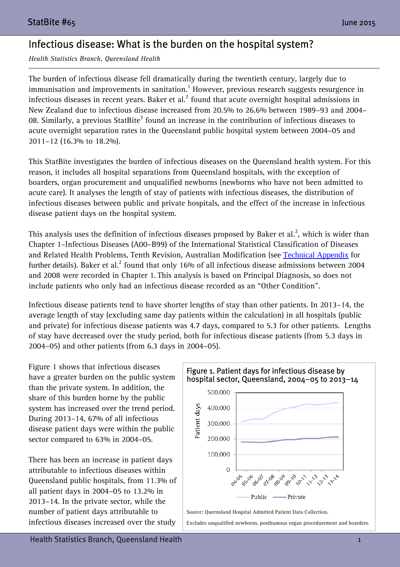## Infectious disease: What is the burden on the hospital system?

*Health Statistics Branch, Queensland Health* 

The burden of infectious disease fell dramatically during the twentieth century, largely due to immunisation and improvements in sanitation. $^1$  However, previous research suggests resurgence in infectious diseases in recent years. Baker et al. $^2$  found that acute overnight hospital admissions in New Zealand due to infectious disease increased from 20.5% to 26.6% between 1989–93 and 2004– 08. Similarly, a previous StatBite $^3$  found an increase in the contribution of infectious diseases to acute overnight separation rates in the Queensland public hospital system between 2004–05 and 2011–12 (16.3% to 18.2%).

This StatBite investigates the burden of infectious diseases on the Queensland health system. For this reason, it includes all hospital separations from Queensland hospitals, with the exception of boarders, organ procurement and unqualified newborns (newborns who have not been admitted to acute care). It analyses the length of stay of patients with infectious diseases, the distribution of infectious diseases between public and private hospitals, and the effect of the increase in infectious disease patient days on the hospital system.

This analysis uses the definition of infectious diseases proposed by Baker et al.<sup>2</sup>, which is wider than Chapter 1–Infectious Diseases (A00–B99) of the International Statistical Classification of Diseases and Related Health Problems, Tenth Revision, Australian Modification (see [Technical Appendix](https://www.health.qld.gov.au/hsu/pdf/statbite/technical_appendix.xlsx) for further details). Baker et al.<sup>2</sup> found that only 16% of all infectious disease admissions between 2004 and 2008 were recorded in Chapter 1. This analysis is based on Principal Diagnosis, so does not include patients who only had an infectious disease recorded as an "Other Condition".

Infectious disease patients tend to have shorter lengths of stay than other patients. In 2013–14, the average length of stay (excluding same day patients within the calculation) in all hospitals (public and private) for infectious disease patients was 4.7 days, compared to 5.3 for other patients. Lengths of stay have decreased over the study period, both for infectious disease patients (from 5.3 days in 2004–05) and other patients (from 6.3 days in 2004–05).

Figure 1 shows that infectious diseases have a greater burden on the public system than the private system. In addition, the share of this burden borne by the public system has increased over the trend period. During 2013–14, 67% of all infectious disease patient days were within the public sector compared to 63% in 2004–05.

There has been an increase in patient days attributable to infectious diseases within Queensland public hospitals, from 11.3% of all patient days in 2004–05 to 13.2% in 2013–14. In the private sector, while the number of patient days attributable to infectious diseases increased over the study



Source: Queensland Hospital Admitted Patient Data Collection.

Excludes unqualified newborns, posthumous organ procedurement and boarders.